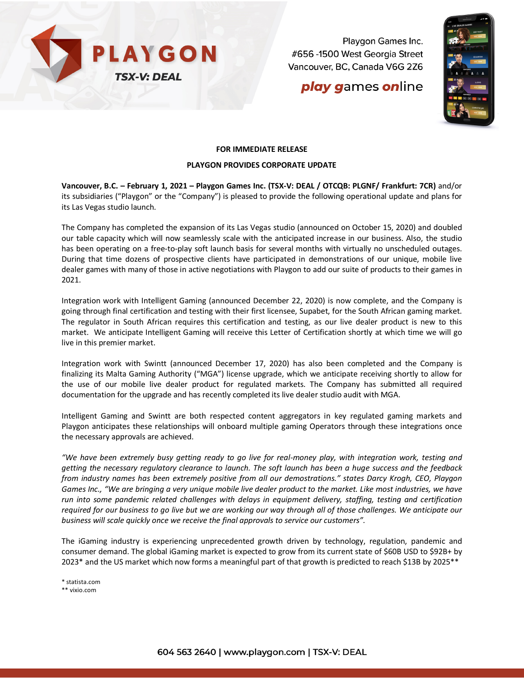

Playgon Games Inc. #656 -1500 West Georgia Street Vancouver, BC, Canada V6G 2Z6

## **play games online**



## **FOR IMMEDIATE RELEASE**

## **PLAYGON PROVIDES CORPORATE UPDATE**

**Vancouver, B.C. – February 1, 2021 – Playgon Games Inc. (TSX-V: DEAL / OTCQB: PLGNF/ Frankfurt: 7CR)** and/or its subsidiaries ("Playgon" or the "Company") is pleased to provide the following operational update and plans for its Las Vegas studio launch.

The Company has completed the expansion of its Las Vegas studio (announced on October 15, 2020) and doubled our table capacity which will now seamlessly scale with the anticipated increase in our business. Also, the studio has been operating on a free-to-play soft launch basis for several months with virtually no unscheduled outages. During that time dozens of prospective clients have participated in demonstrations of our unique, mobile live dealer games with many of those in active negotiations with Playgon to add our suite of products to their games in 2021.

Integration work with Intelligent Gaming (announced December 22, 2020) is now complete, and the Company is going through final certification and testing with their first licensee, Supabet, for the South African gaming market. The regulator in South African requires this certification and testing, as our live dealer product is new to this market. We anticipate Intelligent Gaming will receive this Letter of Certification shortly at which time we will go live in this premier market.

Integration work with Swintt (announced December 17, 2020) has also been completed and the Company is finalizing its Malta Gaming Authority ("MGA") license upgrade, which we anticipate receiving shortly to allow for the use of our mobile live dealer product for regulated markets. The Company has submitted all required documentation for the upgrade and has recently completed its live dealer studio audit with MGA.

Intelligent Gaming and Swintt are both respected content aggregators in key regulated gaming markets and Playgon anticipates these relationships will onboard multiple gaming Operators through these integrations once the necessary approvals are achieved.

*"We have been extremely busy getting ready to go live for real-money play, with integration work, testing and getting the necessary regulatory clearance to launch. The soft launch has been a huge success and the feedback from industry names has been extremely positive from all our demostrations." states Darcy Krogh, CEO, Playgon Games Inc., "We are bringing a very unique mobile live dealer product to the market. Like most industries, we have run into some pandemic related challenges with delays in equipment delivery, staffing, testing and certification required for our business to go live but we are working our way through all of those challenges. We anticipate our business will scale quickly once we receive the final approvals to service our customers".* 

The iGaming industry is experiencing unprecedented growth driven by technology, regulation, pandemic and consumer demand. The global iGaming market is expected to grow from its current state of \$60B USD to \$92B+ by 2023\* and the US market which now forms a meaningful part of that growth is predicted to reach \$13B by 2025\*\*

\* statista.com

\*\* vixio.com